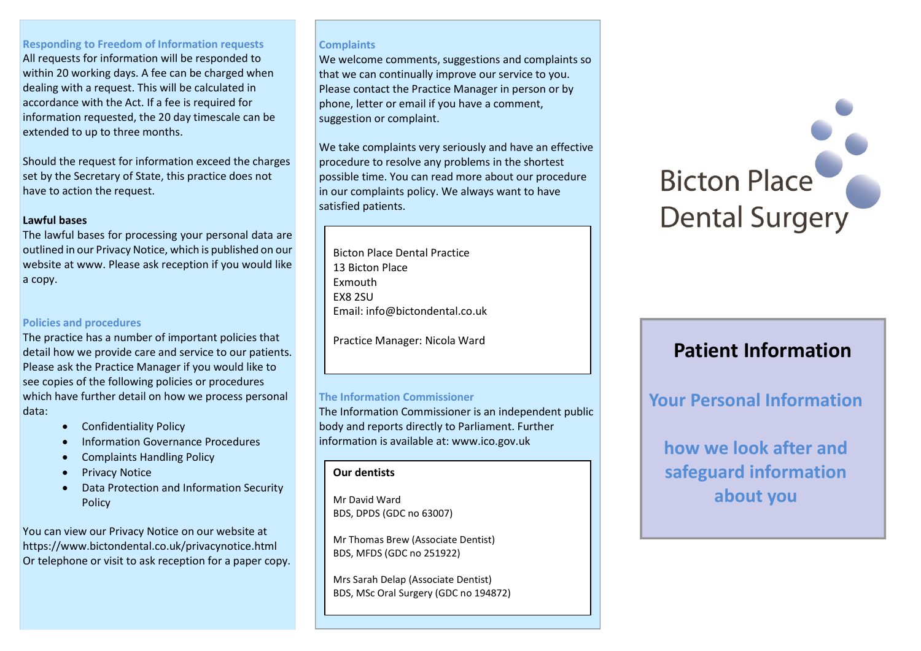#### **Responding to Freedom of Information requests**

All requests for information will be responded to within 20 working days. A fee can be charged when dealing with a request. This will be calculated in accordance with the Act. If a fee is required for information requested, the 20 day timescale can be extended to up to three months.

Should the request for information exceed the charges set by the Secretary of State, this practice does not have to action the request.

#### **Lawful bases**

The lawful bases for processing your personal data are outlined in our Privacy Notice, which is published on our website at www. Please ask reception if you would like a copy.

# **Policies and procedures**

The practice has a number of important policies that detail how we provide care and service to our patients. Please ask the Practice Manager if you would like to see copies of the following policies or procedures which have further detail on how we process personal data:

- **•** Confidentiality Policy
- Information Governance Procedures
- Complaints Handling Policy
- Privacy Notice
- Data Protection and Information Security Policy

You can view our Privacy Notice on our website at https://www.bictondental.co.uk/privacynotice.html Or telephone or visit to ask reception for a paper copy.

#### **Complaints**

We welcome comments, suggestions and complaints so that we can continually improve our service to you. Please contact the Practice Manager in person or by phone, letter or email if you have a comment, suggestion or complaint.

We take complaints very seriously and have an effective procedure to resolve any problems in the shortest possible time. You can read more about our procedure in our complaints policy. We always want to have satisfied patients.

Bicton Place Dental Practice 13 Bicton Place Exmouth EX8 2SU Email: info@bictondental.co.uk

Practice Manager: Nicola Ward

# **The Information Commissioner**

The Information Commissioner is an independent public body and reports directly to Parliament. Further information is available at: www.ico.gov.uk

#### **Our dentists**

Mr David Ward BDS, DPDS (GDC no 63007)

Mr Thomas Brew (Associate Dentist) BDS, MFDS (GDC no 251922)

Mrs Sarah Delap (Associate Dentist) BDS, MSc Oral Surgery (GDC no 194872)



# **Patient Information**

# **Your Personal Information**

**how we look after and safeguard information about you**